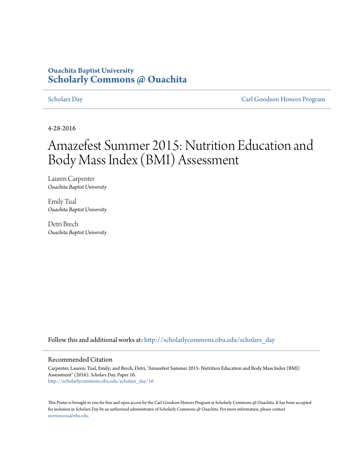## **Ouachita Baptist University [Scholarly Commons @ Ouachita](http://scholarlycommons.obu.edu?utm_source=scholarlycommons.obu.edu%2Fscholars_day%2F16&utm_medium=PDF&utm_campaign=PDFCoverPages)**

[Scholars Day](http://scholarlycommons.obu.edu/scholars_day?utm_source=scholarlycommons.obu.edu%2Fscholars_day%2F16&utm_medium=PDF&utm_campaign=PDFCoverPages) [Carl Goodson Honors Program](http://scholarlycommons.obu.edu/honors?utm_source=scholarlycommons.obu.edu%2Fscholars_day%2F16&utm_medium=PDF&utm_campaign=PDFCoverPages)

4-28-2016

## Amazefest Summer 2015: Nutrition Education and Body Mass Index (BMI) Assessment

Lauren Carpenter *Ouachita Baptist University*

Emily Tual *Ouachita Baptist University*

Detri Brech *Ouachita Baptist University*

Follow this and additional works at: [http://scholarlycommons.obu.edu/scholars\\_day](http://scholarlycommons.obu.edu/scholars_day?utm_source=scholarlycommons.obu.edu%2Fscholars_day%2F16&utm_medium=PDF&utm_campaign=PDFCoverPages)

## Recommended Citation

Carpenter, Lauren; Tual, Emily; and Brech, Detri, "Amazefest Summer 2015: Nutrition Education and Body Mass Index (BMI) Assessment" (2016). *Scholars Day.* Paper 16. [http://scholarlycommons.obu.edu/scholars\\_day/16](http://scholarlycommons.obu.edu/scholars_day/16?utm_source=scholarlycommons.obu.edu%2Fscholars_day%2F16&utm_medium=PDF&utm_campaign=PDFCoverPages)

This Poster is brought to you for free and open access by the Carl Goodson Honors Program at Scholarly Commons @ Ouachita. It has been accepted for inclusion in Scholars Day by an authorized administrator of Scholarly Commons @ Ouachita. For more information, please contact [mortensona@obu.edu](mailto:mortensona@obu.edu).